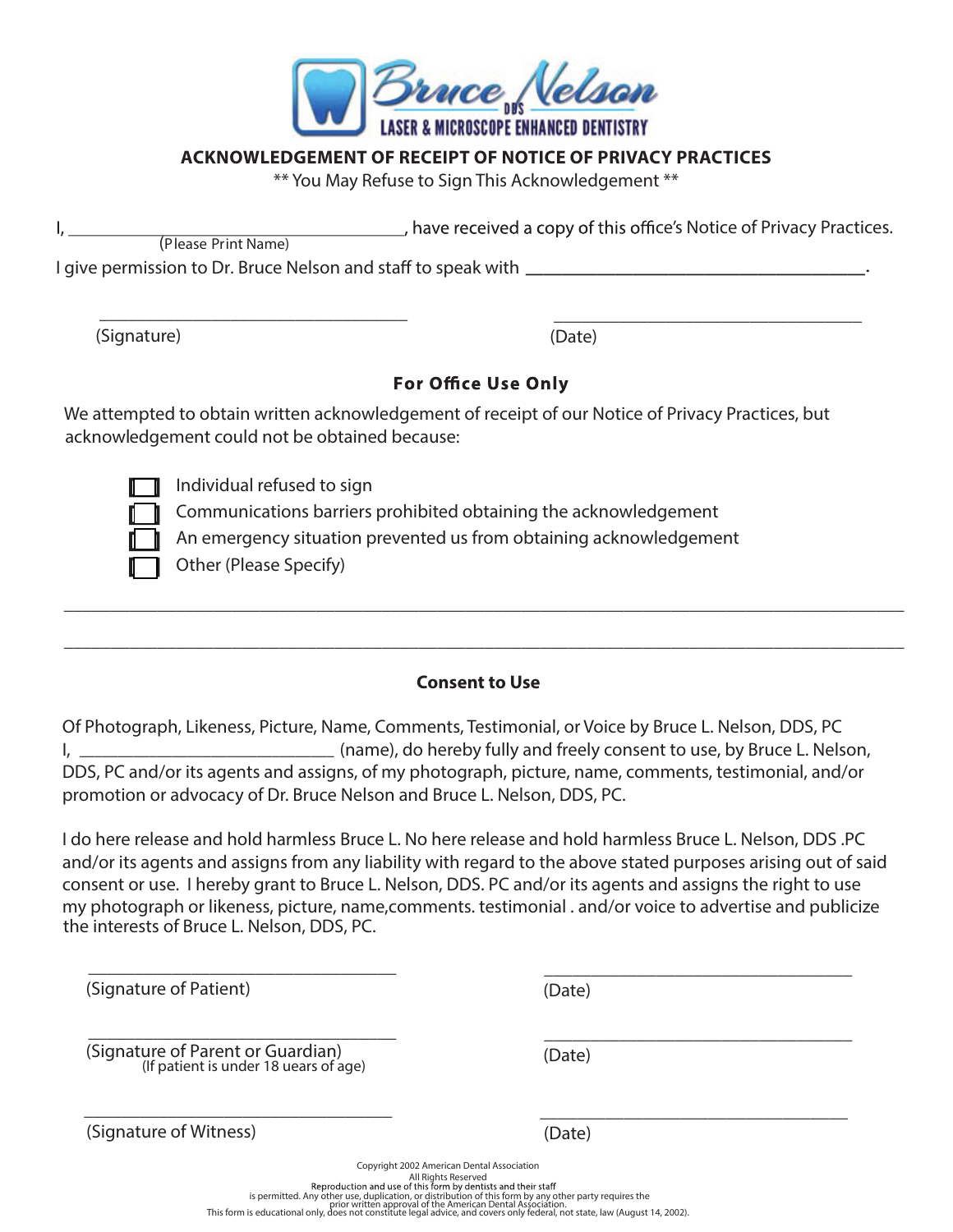

### **ACKNOWLEDGEMENT OF RECEIPT OF NOTICE OF PRIVACY PRACTICES**

\*\* You May Refuse to Sign This Acknowledgement \*\*

|                                                               | have received a copy of this office's Notice of Privacy Practices. |
|---------------------------------------------------------------|--------------------------------------------------------------------|
| (Please Print Name)                                           |                                                                    |
| I give permission to Dr. Bruce Nelson and staff to speak with |                                                                    |
|                                                               |                                                                    |
|                                                               |                                                                    |

(Signature)

(Date)

# **For Office Use Only**

We attempted to obtain written acknowledgement of receipt of our Notice of Privacy Practices, but acknowledgement could not be obtained because:

Individual refused to sign Communications barriers prohibited obtaining the acknowledgement An emergency situation prevented us from obtaining acknowledgement Other (Please Specify)

## **Consent to Use**

\_\_\_\_\_\_\_\_\_\_\_\_\_\_\_\_\_\_\_\_\_\_\_\_\_\_\_\_\_\_\_\_\_\_\_\_\_\_\_\_\_\_\_\_\_\_\_\_\_\_\_\_\_\_\_\_\_\_\_\_\_\_\_\_\_\_\_\_\_\_\_\_\_\_\_\_\_\_\_\_\_\_\_\_\_\_\_\_\_\_

\_\_\_\_\_\_\_\_\_\_\_\_\_\_\_\_\_\_\_\_\_\_\_\_\_\_\_\_\_\_\_\_\_\_\_\_\_\_\_\_\_\_\_\_\_\_\_\_\_\_\_\_\_\_\_\_\_\_\_\_\_\_\_\_\_\_\_\_\_\_\_\_\_\_\_\_\_\_\_\_\_\_\_\_\_\_\_\_\_\_

Of Photograph, Likeness, Picture, Name, Comments, Testimonial, or Voice by Bruce L. Nelson, DDS, PC I, (name), do hereby fully and freely consent to use, by Bruce L. Nelson, \_\_\_\_\_\_\_\_\_\_\_\_\_\_\_\_\_\_\_\_\_\_\_\_\_\_\_\_\_\_\_\_\_ DDS, PC and/or its agents and assigns, of my photograph, picture, name, comments, testimonial, and/or promotion or advocacy of Dr. Bruce Nelson and Bruce L. Nelson, DDS, PC.

I do here release and hold harmless Bruce L. No here release and hold harmless Bruce L. Nelson, DDS .PC and/or its agents and assigns from any liability with regard to the above stated purposes arising out of said consent or use. I hereby grant to Bruce L. Nelson, DDS. PC and/or its agents and assigns the right to use my photograph or likeness, picture, name,comments. testimonial . and/or voice to advertise and publicize the interests of Bruce L. Nelson, DDS, PC.

(Signature of Patient)

(Date)

\_\_\_\_\_\_\_\_\_\_\_\_\_\_\_\_\_\_\_\_\_\_\_\_\_\_\_\_\_\_\_\_\_

\_\_\_\_\_\_\_\_\_\_\_\_\_\_\_\_\_\_\_\_\_\_\_\_\_\_\_\_\_\_\_\_\_

 \_\_\_\_\_\_\_\_\_\_\_\_\_\_\_\_\_\_\_\_\_\_\_\_\_\_\_\_\_\_\_\_\_ (Signature of Parent or Guardian) (Date) (If patient is under 18 uears of age)

 $\overline{\phantom{a}}$  ,  $\overline{\phantom{a}}$  ,  $\overline{\phantom{a}}$  ,  $\overline{\phantom{a}}$  ,  $\overline{\phantom{a}}$  ,  $\overline{\phantom{a}}$  ,  $\overline{\phantom{a}}$  ,  $\overline{\phantom{a}}$  ,  $\overline{\phantom{a}}$  ,  $\overline{\phantom{a}}$  ,  $\overline{\phantom{a}}$  ,  $\overline{\phantom{a}}$  ,  $\overline{\phantom{a}}$  ,  $\overline{\phantom{a}}$  ,  $\overline{\phantom{a}}$  ,  $\overline{\phantom{a}}$ 

\_\_\_\_\_\_\_\_\_\_\_\_\_\_\_\_\_\_\_\_\_\_\_\_\_\_\_\_\_\_\_\_\_

(Signature of Witness)

(Date)

Copyright 2002 American Dental Association All Rights Reserved<br>Reproduction and use of this form by dentists and their staff is permitted. Any other use, duplication, or distribution of this form by any other party requires the<br>prior written approval of the American Dental Association.<br>This form is educational only, does not constitute legal adv